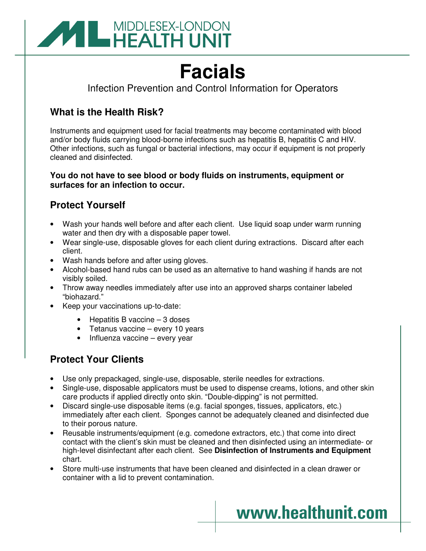

# **Facials**

Infection Prevention and Control Information for Operators

## **What is the Health Risk?**

Instruments and equipment used for facial treatments may become contaminated with blood and/or body fluids carrying blood-borne infections such as hepatitis B, hepatitis C and HIV. Other infections, such as fungal or bacterial infections, may occur if equipment is not properly cleaned and disinfected.

#### **You do not have to see blood or body fluids on instruments, equipment or surfaces for an infection to occur.**

### **Protect Yourself**

- Wash your hands well before and after each client. Use liquid soap under warm running water and then dry with a disposable paper towel.
- Wear single-use, disposable gloves for each client during extractions. Discard after each client.
- Wash hands before and after using gloves.
- Alcohol-based hand rubs can be used as an alternative to hand washing if hands are not visibly soiled.
- Throw away needles immediately after use into an approved sharps container labeled "biohazard."
- Keep your vaccinations up-to-date:
	- Hepatitis B vaccine 3 doses
	- Tetanus vaccine every 10 years
	- Influenza vaccine every year

## **Protect Your Clients**

- Use only prepackaged, single-use, disposable, sterile needles for extractions.
- Single-use, disposable applicators must be used to dispense creams, lotions, and other skin care products if applied directly onto skin. "Double-dipping" is not permitted.
- Discard single-use disposable items (e.g. facial sponges, tissues, applicators, etc.) immediately after each client. Sponges cannot be adequately cleaned and disinfected due to their porous nature.
- Reusable instruments/equipment (e.g. comedone extractors, etc.) that come into direct contact with the client's skin must be cleaned and then disinfected using an intermediate- or high-level disinfectant after each client. See **Disinfection of Instruments and Equipment** chart.

www.healthunit.com

• Store multi-use instruments that have been cleaned and disinfected in a clean drawer or container with a lid to prevent contamination.